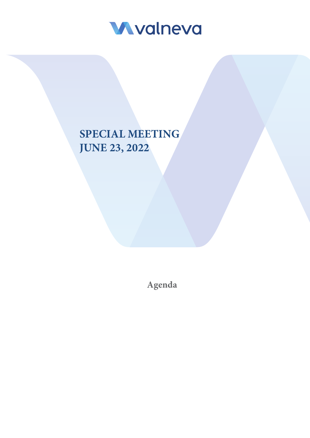

## **SPECIAL MEETING JUNE 23, 2022**

**Agenda**